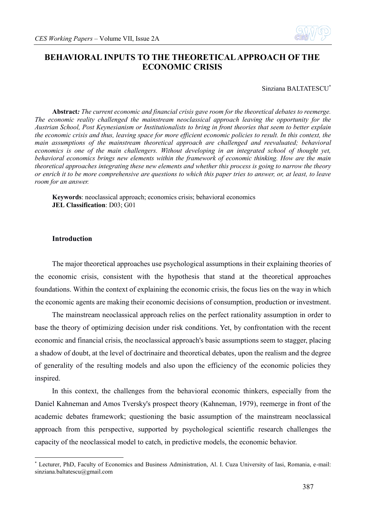

### **BEHAVIORAL INPUTS TO THE THEORETICAL APPROACH OF THE ECONOMIC CRISIS**

Sinziana BALTATESCU\*

**Abstract***: The current economic and financial crisis gave room for the theoretical debates to reemerge. The economic reality challenged the mainstream neoclassical approach leaving the opportunity for the Austrian School, Post Keynesianism or Institutionalists to bring in front theories that seem to better explain the economic crisis and thus, leaving space for more efficient economic policies to result. In this context, the main assumptions of the mainstream theoretical approach are challenged and reevaluated; behavioral economics is one of the main challengers. Without developing in an integrated school of thought yet, behavioral economics brings new elements within the framework of economic thinking. How are the main theoretical approaches integrating these new elements and whether this process is going to narrow the theory or enrich it to be more comprehensive are questions to which this paper tries to answer, or, at least, to leave room for an answer.*

**Keywords**: neoclassical approach; economics crisis; behavioral economics **JEL Classification**: D03; G01

### **Introduction**

1

The major theoretical approaches use psychological assumptions in their explaining theories of the economic crisis, consistent with the hypothesis that stand at the theoretical approaches foundations. Within the context of explaining the economic crisis, the focus lies on the way in which the economic agents are making their economic decisions of consumption, production or investment.

The mainstream neoclassical approach relies on the perfect rationality assumption in order to base the theory of optimizing decision under risk conditions. Yet, by confrontation with the recent economic and financial crisis, the neoclassical approach's basic assumptions seem to stagger, placing a shadow of doubt, at the level of doctrinaire and theoretical debates, upon the realism and the degree of generality of the resulting models and also upon the efficiency of the economic policies they inspired.

In this context, the challenges from the behavioral economic thinkers, especially from the Daniel Kahneman and Amos Tversky's prospect theory (Kahneman, 1979), reemerge in front of the academic debates framework; questioning the basic assumption of the mainstream neoclassical approach from this perspective, supported by psychological scientific research challenges the capacity of the neoclassical model to catch, in predictive models, the economic behavior.

<sup>\*</sup> Lecturer, PhD, Faculty of Economics and Business Administration, Al. I. Cuza University of Iasi, Romania, e-mail: sinziana.baltatescu@gmail.com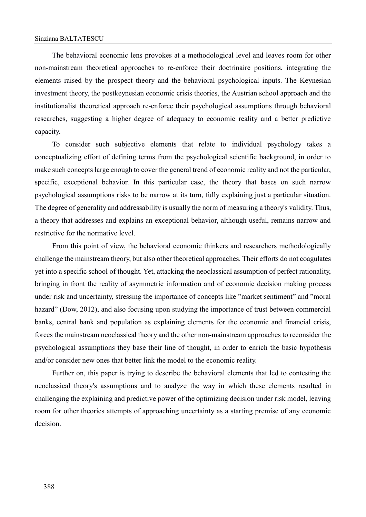The behavioral economic lens provokes at a methodological level and leaves room for other non-mainstream theoretical approaches to re-enforce their doctrinaire positions, integrating the elements raised by the prospect theory and the behavioral psychological inputs. The Keynesian investment theory, the postkeynesian economic crisis theories, the Austrian school approach and the institutionalist theoretical approach re-enforce their psychological assumptions through behavioral researches, suggesting a higher degree of adequacy to economic reality and a better predictive capacity.

To consider such subjective elements that relate to individual psychology takes a conceptualizing effort of defining terms from the psychological scientific background, in order to make such concepts large enough to cover the general trend of economic reality and not the particular, specific, exceptional behavior. In this particular case, the theory that bases on such narrow psychological assumptions risks to be narrow at its turn, fully explaining just a particular situation. The degree of generality and addressability is usually the norm of measuring a theory's validity. Thus, a theory that addresses and explains an exceptional behavior, although useful, remains narrow and restrictive for the normative level.

From this point of view, the behavioral economic thinkers and researchers methodologically challenge the mainstream theory, but also other theoretical approaches. Their efforts do not coagulates yet into a specific school of thought. Yet, attacking the neoclassical assumption of perfect rationality, bringing in front the reality of asymmetric information and of economic decision making process under risk and uncertainty, stressing the importance of concepts like "market sentiment" and "moral hazard" (Dow, 2012), and also focusing upon studying the importance of trust between commercial banks, central bank and population as explaining elements for the economic and financial crisis, forces the mainstream neoclassical theory and the other non-mainstream approaches to reconsider the psychological assumptions they base their line of thought, in order to enrich the basic hypothesis and/or consider new ones that better link the model to the economic reality.

Further on, this paper is trying to describe the behavioral elements that led to contesting the neoclassical theory's assumptions and to analyze the way in which these elements resulted in challenging the explaining and predictive power of the optimizing decision under risk model, leaving room for other theories attempts of approaching uncertainty as a starting premise of any economic decision.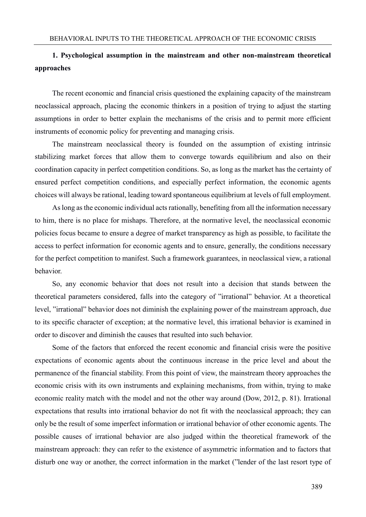# **1. Psychological assumption in the mainstream and other non-mainstream theoretical approaches**

The recent economic and financial crisis questioned the explaining capacity of the mainstream neoclassical approach, placing the economic thinkers in a position of trying to adjust the starting assumptions in order to better explain the mechanisms of the crisis and to permit more efficient instruments of economic policy for preventing and managing crisis.

The mainstream neoclassical theory is founded on the assumption of existing intrinsic stabilizing market forces that allow them to converge towards equilibrium and also on their coordination capacity in perfect competition conditions. So, as long as the market has the certainty of ensured perfect competition conditions, and especially perfect information, the economic agents choices will always be rational, leading toward spontaneous equilibrium at levels of full employment.

As long as the economic individual acts rationally, benefiting from all the information necessary to him, there is no place for mishaps. Therefore, at the normative level, the neoclassical economic policies focus became to ensure a degree of market transparency as high as possible, to facilitate the access to perfect information for economic agents and to ensure, generally, the conditions necessary for the perfect competition to manifest. Such a framework guarantees, in neoclassical view, a rational behavior.

So, any economic behavior that does not result into a decision that stands between the theoretical parameters considered, falls into the category of "irrational" behavior. At a theoretical level, "irrational" behavior does not diminish the explaining power of the mainstream approach, due to its specific character of exception; at the normative level, this irrational behavior is examined in order to discover and diminish the causes that resulted into such behavior.

Some of the factors that enforced the recent economic and financial crisis were the positive expectations of economic agents about the continuous increase in the price level and about the permanence of the financial stability. From this point of view, the mainstream theory approaches the economic crisis with its own instruments and explaining mechanisms, from within, trying to make economic reality match with the model and not the other way around (Dow, 2012, p. 81). Irrational expectations that results into irrational behavior do not fit with the neoclassical approach; they can only be the result of some imperfect information or irrational behavior of other economic agents. The possible causes of irrational behavior are also judged within the theoretical framework of the mainstream approach: they can refer to the existence of asymmetric information and to factors that disturb one way or another, the correct information in the market ("lender of the last resort type of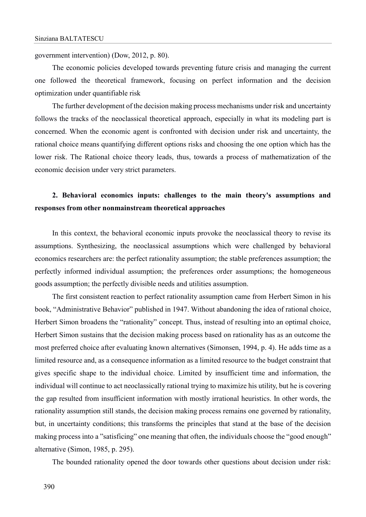government intervention) (Dow, 2012, p. 80).

The economic policies developed towards preventing future crisis and managing the current one followed the theoretical framework, focusing on perfect information and the decision optimization under quantifiable risk

The further development of the decision making process mechanisms under risk and uncertainty follows the tracks of the neoclassical theoretical approach, especially in what its modeling part is concerned. When the economic agent is confronted with decision under risk and uncertainty, the rational choice means quantifying different options risks and choosing the one option which has the lower risk. The Rational choice theory leads, thus, towards a process of mathematization of the economic decision under very strict parameters.

# **2. Behavioral economics inputs: challenges to the main theory's assumptions and responses from other nonmainstream theoretical approaches**

In this context, the behavioral economic inputs provoke the neoclassical theory to revise its assumptions. Synthesizing, the neoclassical assumptions which were challenged by behavioral economics researchers are: the perfect rationality assumption; the stable preferences assumption; the perfectly informed individual assumption; the preferences order assumptions; the homogeneous goods assumption; the perfectly divisible needs and utilities assumption.

The first consistent reaction to perfect rationality assumption came from Herbert Simon in his book, "Administrative Behavior" published in 1947. Without abandoning the idea of rational choice, Herbert Simon broadens the "rationality" concept. Thus, instead of resulting into an optimal choice, Herbert Simon sustains that the decision making process based on rationality has as an outcome the most preferred choice after evaluating known alternatives (Simonsen, 1994, p. 4). He adds time as a limited resource and, as a consequence information as a limited resource to the budget constraint that gives specific shape to the individual choice. Limited by insufficient time and information, the individual will continue to act neoclassically rational trying to maximize his utility, but he is covering the gap resulted from insufficient information with mostly irrational heuristics. In other words, the rationality assumption still stands, the decision making process remains one governed by rationality, but, in uncertainty conditions; this transforms the principles that stand at the base of the decision making process into a "satisficing" one meaning that often, the individuals choose the "good enough" alternative (Simon, 1985, p. 295).

The bounded rationality opened the door towards other questions about decision under risk: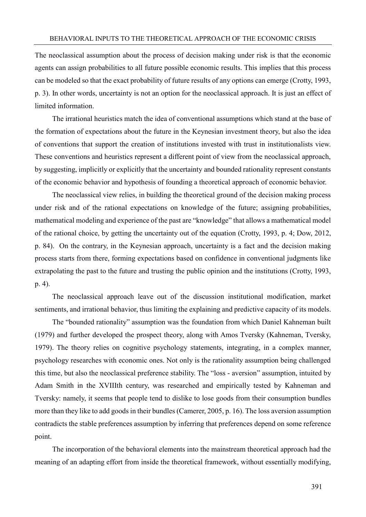The neoclassical assumption about the process of decision making under risk is that the economic agents can assign probabilities to all future possible economic results. This implies that this process can be modeled so that the exact probability of future results of any options can emerge (Crotty, 1993, p. 3). In other words, uncertainty is not an option for the neoclassical approach. It is just an effect of limited information.

The irrational heuristics match the idea of conventional assumptions which stand at the base of the formation of expectations about the future in the Keynesian investment theory, but also the idea of conventions that support the creation of institutions invested with trust in institutionalists view. These conventions and heuristics represent a different point of view from the neoclassical approach, by suggesting, implicitly or explicitly that the uncertainty and bounded rationality represent constants of the economic behavior and hypothesis of founding a theoretical approach of economic behavior.

The neoclassical view relies, in building the theoretical ground of the decision making process under risk and of the rational expectations on knowledge of the future; assigning probabilities, mathematical modeling and experience of the past are "knowledge" that allows a mathematical model of the rational choice, by getting the uncertainty out of the equation (Crotty, 1993, p. 4; Dow, 2012, p. 84).On the contrary, in the Keynesian approach, uncertainty is a fact and the decision making process starts from there, forming expectations based on confidence in conventional judgments like extrapolating the past to the future and trusting the public opinion and the institutions (Crotty, 1993, p. 4).

The neoclassical approach leave out of the discussion institutional modification, market sentiments, and irrational behavior, thus limiting the explaining and predictive capacity of its models.

The "bounded rationality" assumption was the foundation from which Daniel Kahneman built (1979) and further developed the prospect theory, along with Amos Tversky (Kahneman, Tversky, 1979). The theory relies on cognitive psychology statements, integrating, in a complex manner, psychology researches with economic ones. Not only is the rationality assumption being challenged this time, but also the neoclassical preference stability. The "loss - aversion" assumption, intuited by Adam Smith in the XVIIIth century, was researched and empirically tested by Kahneman and Tversky: namely, it seems that people tend to dislike to lose goods from their consumption bundles more than they like to add goods in their bundles (Camerer, 2005, p. 16). The loss aversion assumption contradicts the stable preferences assumption by inferring that preferences depend on some reference point.

The incorporation of the behavioral elements into the mainstream theoretical approach had the meaning of an adapting effort from inside the theoretical framework, without essentially modifying,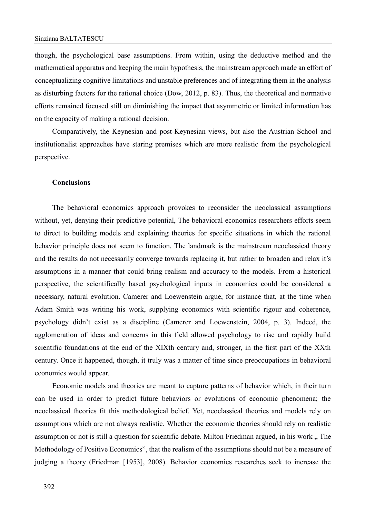though, the psychological base assumptions. From within, using the deductive method and the mathematical apparatus and keeping the main hypothesis, the mainstream approach made an effort of conceptualizing cognitive limitations and unstable preferences and of integrating them in the analysis as disturbing factors for the rational choice (Dow, 2012, p. 83). Thus, the theoretical and normative efforts remained focused still on diminishing the impact that asymmetric or limited information has on the capacity of making a rational decision.

Comparatively, the Keynesian and post-Keynesian views, but also the Austrian School and institutionalist approaches have staring premises which are more realistic from the psychological perspective.

#### **Conclusions**

The behavioral economics approach provokes to reconsider the neoclassical assumptions without, yet, denying their predictive potential, The behavioral economics researchers efforts seem to direct to building models and explaining theories for specific situations in which the rational behavior principle does not seem to function. The landmark is the mainstream neoclassical theory and the results do not necessarily converge towards replacing it, but rather to broaden and relax it's assumptions in a manner that could bring realism and accuracy to the models. From a historical perspective, the scientifically based psychological inputs in economics could be considered a necessary, natural evolution. Camerer and Loewenstein argue, for instance that, at the time when Adam Smith was writing his work, supplying economics with scientific rigour and coherence, psychology didn't exist as a discipline (Camerer and Loewenstein, 2004, p. 3). Indeed, the agglomeration of ideas and concerns in this field allowed psychology to rise and rapidly build scientific foundations at the end of the XIXth century and, stronger, in the first part of the XXth century. Once it happened, though, it truly was a matter of time since preoccupations in behavioral economics would appear.

Economic models and theories are meant to capture patterns of behavior which, in their turn can be used in order to predict future behaviors or evolutions of economic phenomena; the neoclassical theories fit this methodological belief. Yet, neoclassical theories and models rely on assumptions which are not always realistic. Whether the economic theories should rely on realistic assumption or not is still a question for scientific debate. Milton Friedman argued, in his work . The Methodology of Positive Economics", that the realism of the assumptions should not be a measure of judging a theory (Friedman [1953], 2008). Behavior economics researches seek to increase the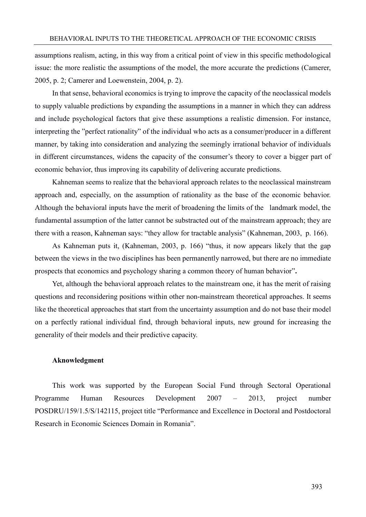assumptions realism, acting, in this way from a critical point of view in this specific methodological issue: the more realistic the assumptions of the model, the more accurate the predictions (Camerer, 2005, p. 2; Camerer and Loewenstein, 2004, p. 2).

In that sense, behavioral economics is trying to improve the capacity of the neoclassical models to supply valuable predictions by expanding the assumptions in a manner in which they can address and include psychological factors that give these assumptions a realistic dimension. For instance, interpreting the "perfect rationality" of the individual who acts as a consumer/producer in a different manner, by taking into consideration and analyzing the seemingly irrational behavior of individuals in different circumstances, widens the capacity of the consumer's theory to cover a bigger part of economic behavior, thus improving its capability of delivering accurate predictions.

Kahneman seems to realize that the behavioral approach relates to the neoclassical mainstream approach and, especially, on the assumption of rationality as the base of the economic behavior. Although the behavioral inputs have the merit of broadening the limits of the landmark model, the fundamental assumption of the latter cannot be substracted out of the mainstream approach; they are there with a reason, Kahneman says: "they allow for tractable analysis" (Kahneman, 2003, p. 166).

As Kahneman puts it, (Kahneman, 2003, p. 166) "thus, it now appears likely that the gap between the views in the two disciplines has been permanently narrowed, but there are no immediate prospects that economics and psychology sharing a common theory of human behavior"**.**

Yet, although the behavioral approach relates to the mainstream one, it has the merit of raising questions and reconsidering positions within other non-mainstream theoretical approaches. It seems like the theoretical approaches that start from the uncertainty assumption and do not base their model on a perfectly rational individual find, through behavioral inputs, new ground for increasing the generality of their models and their predictive capacity.

#### **Aknowledgment**

This work was supported by the European Social Fund through Sectoral Operational Programme Human Resources Development 2007 – 2013, project number POSDRU/159/1.5/S/142115, project title "Performance and Excellence in Doctoral and Postdoctoral Research in Economic Sciences Domain in Romania".